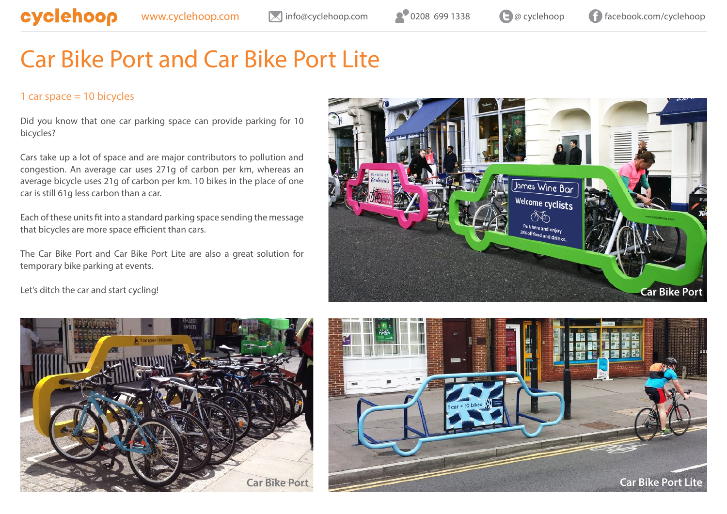# [Car Bike Port](http://www.cyclehoop.com/product/bike-racks-and-cycle-stands/car-bike-port/) and Car Bike Port Lite

### 1 car space  $= 10$  bicycles

Did you know that one car parking space can provide parking for 10 bicycles?

Cars take up a lot of space and are major contributors to pollution and congestion. An average car uses 271g of carbon per km, whereas an average bicycle uses 21g of carbon per km. 10 bikes in the place of one car is still 61g less carbon than a car.

Each of these units fit into a standard parking space sending the message that bicycles are more space efficient than cars.

The Car Bike Port and Car Bike Port Lite are also a great solution for temporary bike parking at events.